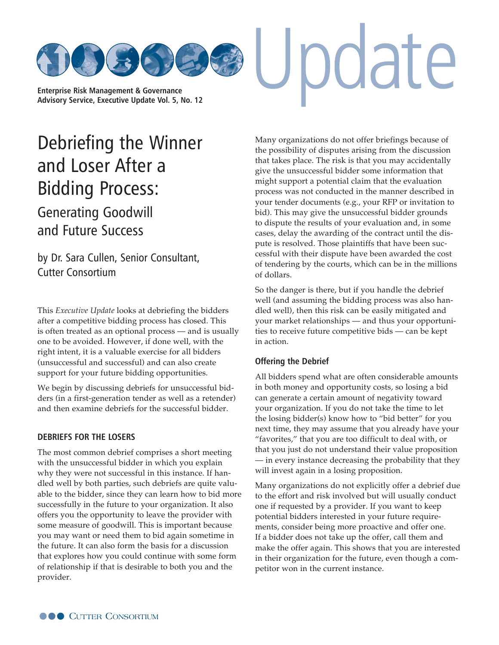

**[Advisory Service, Executive Update Vol. 5, No. 12](http://www.cutter.com)**

# [Debriefing the Winner](http://www.cutter.com)  and Loser After a Bidding Process:

Generating Goodwill and Future Success

by Dr. Sara Cullen, Senior Consultant, Cutter Consortium

This *Executive Update* looks at debriefing the bidders after a competitive bidding process has closed. This is often treated as an optional process — and is usually one to be avoided. However, if done well, with the right intent, it is a valuable exercise for all bidders (unsuccessful and successful) and can also create support for your future bidding opportunities.

We begin by discussing debriefs for unsuccessful bidders (in a first-generation tender as well as a retender) and then examine debriefs for the successful bidder.

#### **DEBRIEFS FOR THE LOSERS**

The most common debrief comprises a short meeting with the unsuccessful bidder in which you explain why they were not successful in this instance. If handled well by both parties, such debriefs are quite valuable to the bidder, since they can learn how to bid more successfully in the future to your organization. It also offers you the opportunity to leave the provider with some measure of goodwill. This is important because you may want or need them to bid again sometime in the future. It can also form the basis for a discussion that explores how you could continue with some form of relationship if that is desirable to both you and the provider.

Many organizations do not offer briefings because of the possibility of disputes arising from the discussion that takes place. The risk is that you may accidentally give the unsuccessful bidder some information that might support a potential claim that the evaluation process was not conducted in the manner described in your tender documents (e.g., your RFP or invitation to bid). This may give the unsuccessful bidder grounds to dispute the results of your evaluation and, in some cases, delay the awarding of the contract until the dispute is resolved. Those plaintiffs that have been successful with their dispute have been awarded the cost of tendering by the courts, which can be in the millions of dollars.

So the danger is there, but if you handle the debrief well (and assuming the bidding process was also handled well), then this risk can be easily mitigated and your market relationships — and thus your opportunities to receive future competitive bids — can be kept in action.

#### **Offering the Debrief**

All bidders spend what are often considerable amounts in both money and opportunity costs, so losing a bid can generate a certain amount of negativity toward your organization. If you do not take the time to let the losing bidder(s) know how to "bid better" for you next time, they may assume that you already have your "favorites," that you are too difficult to deal with, or that you just do not understand their value proposition — in every instance decreasing the probability that they will invest again in a losing proposition.

Many organizations do not explicitly offer a debrief due to the effort and risk involved but will usually conduct one if requested by a provider. If you want to keep potential bidders interested in your future requirements, consider being more proactive and offer one. If a bidder does not take up the offer, call them and make the offer again. This shows that you are interested in their organization for the future, even though a competitor won in the current instance.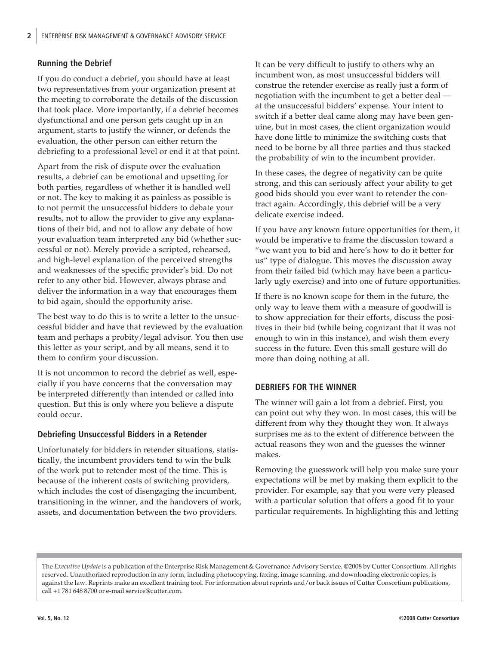# **Running the Debrief**

If you do conduct a debrief, you should have at least two representatives from your organization present at the meeting to corroborate the details of the discussion that took place. More importantly, if a debrief becomes dysfunctional and one person gets caught up in an argument, starts to justify the winner, or defends the evaluation, the other person can either return the debriefing to a professional level or end it at that point.

Apart from the risk of dispute over the evaluation results, a debrief can be emotional and upsetting for both parties, regardless of whether it is handled well or not. The key to making it as painless as possible is to not permit the unsuccessful bidders to debate your results, not to allow the provider to give any explanations of their bid, and not to allow any debate of how your evaluation team interpreted any bid (whether successful or not). Merely provide a scripted, rehearsed, and high-level explanation of the perceived strengths and weaknesses of the specific provider's bid. Do not refer to any other bid. However, always phrase and deliver the information in a way that encourages them to bid again, should the opportunity arise.

The best way to do this is to write a letter to the unsuccessful bidder and have that reviewed by the evaluation team and perhaps a probity/legal advisor. You then use this letter as your script, and by all means, send it to them to confirm your discussion.

It is not uncommon to record the debrief as well, especially if you have concerns that the conversation may be interpreted differently than intended or called into question. But this is only where you believe a dispute could occur.

## **Debriefing Unsuccessful Bidders in a Retender**

Unfortunately for bidders in retender situations, statistically, the incumbent providers tend to win the bulk of the work put to retender most of the time. This is because of the inherent costs of switching providers, which includes the cost of disengaging the incumbent, transitioning in the winner, and the handovers of work, assets, and documentation between the two providers.

It can be very difficult to justify to others why an incumbent won, as most unsuccessful bidders will construe the retender exercise as really just a form of negotiation with the incumbent to get a better deal at the unsuccessful bidders' expense. Your intent to switch if a better deal came along may have been genuine, but in most cases, the client organization would have done little to minimize the switching costs that need to be borne by all three parties and thus stacked the probability of win to the incumbent provider.

In these cases, the degree of negativity can be quite strong, and this can seriously affect your ability to get good bids should you ever want to retender the contract again. Accordingly, this debrief will be a very delicate exercise indeed.

If you have any known future opportunities for them, it would be imperative to frame the discussion toward a "we want you to bid and here's how to do it better for us" type of dialogue. This moves the discussion away from their failed bid (which may have been a particularly ugly exercise) and into one of future opportunities.

If there is no known scope for them in the future, the only way to leave them with a measure of goodwill is to show appreciation for their efforts, discuss the positives in their bid (while being cognizant that it was not enough to win in this instance), and wish them every success in the future. Even this small gesture will do more than doing nothing at all.

## **DEBRIEFS FOR THE WINNER**

The winner will gain a lot from a debrief. First, you can point out why they won. In most cases, this will be different from why they thought they won. It always surprises me as to the extent of difference between the actual reasons they won and the guesses the winner makes.

Removing the guesswork will help you make sure your expectations will be met by making them explicit to the provider. For example, say that you were very pleased with a particular solution that offers a good fit to your particular requirements. In highlighting this and letting

The *Executive Update* is a publication of the Enterprise Risk Management & Governance Advisory Service. ©2008 by Cutter Consortium. All rights reserved. Unauthorized reproduction in any form, including photocopying, faxing, image scanning, and downloading electronic copies, is against the law. Reprints make an excellent training tool. For information about reprints and/or back issues of Cutter Consortium publications, call +1 781 648 8700 or e-[mail service@cutter.com.](mailto:service@cutter.com)